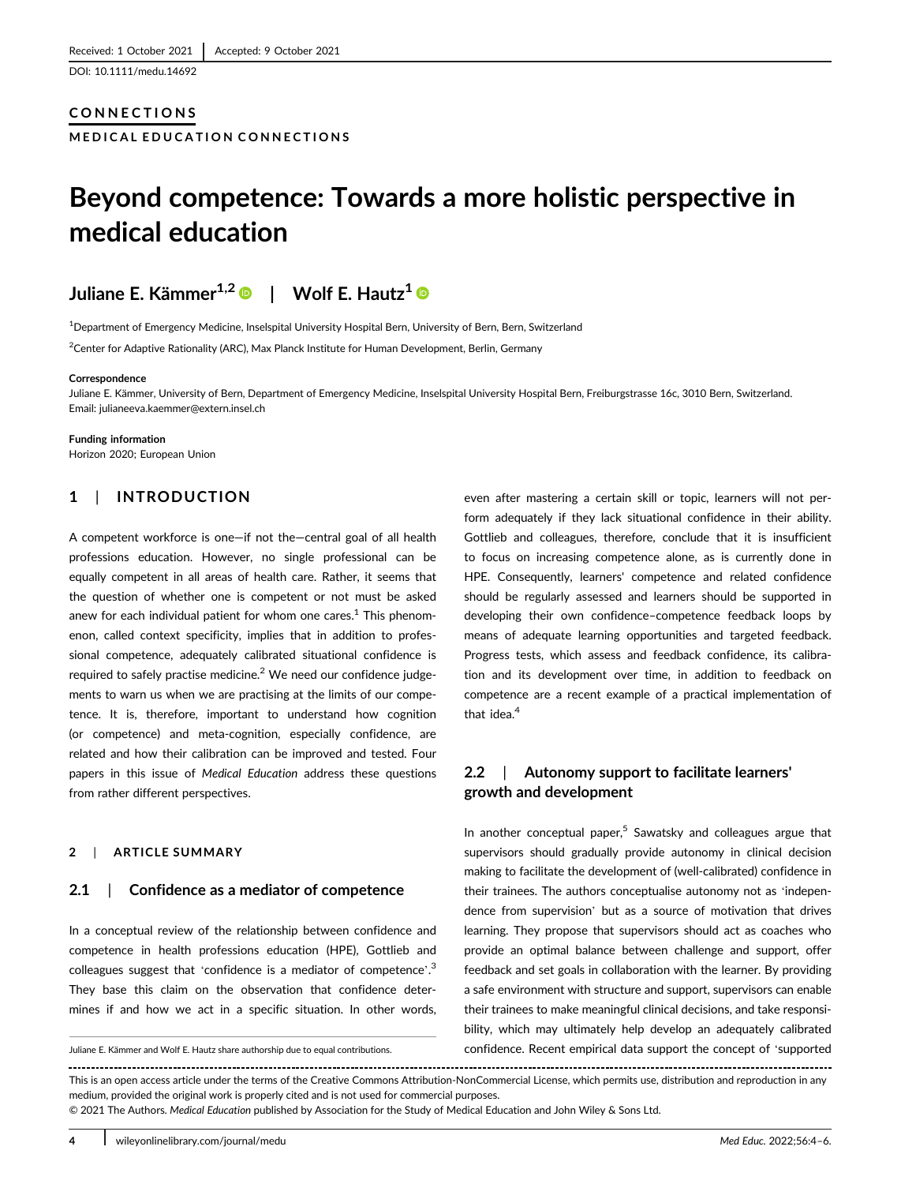DOI: 10.1111/medu.14692

## CONNECTIONS

MEDICAL EDUCATION CONNECTIONS

# Beyond competence: Towards a more holistic perspective in medical education

# Juliane E. Kämmer<sup>1,2</sup> · | Wolf E. Hautz<sup>1</sup> ·

1 Department of Emergency Medicine, Inselspital University Hospital Bern, University of Bern, Bern, Switzerland  $\rm ^2$ Center for Adaptive Rationality (ARC), Max Planck Institute for Human Development, Berlin, Germany

#### **Correspondence**

Juliane E. Kämmer, University of Bern, Department of Emergency Medicine, Inselspital University Hospital Bern, Freiburgstrasse 16c, 3010 Bern, Switzerland. Email: [julianeeva.kaemmer@extern.insel.ch](mailto:julianeeva.kaemmer@extern.insel.ch)

Funding information Horizon 2020; European Union

# 1 | INTRODUCTION

A competent workforce is one—if not the—central goal of all health professions education. However, no single professional can be equally competent in all areas of health care. Rather, it seems that the question of whether one is competent or not must be asked anew for each individual patient for whom one cares. $1$  This phenomenon, called context specificity, implies that in addition to professional competence, adequately calibrated situational confidence is required to safely practise medicine. $<sup>2</sup>$  We need our confidence judge-</sup> ments to warn us when we are practising at the limits of our competence. It is, therefore, important to understand how cognition (or competence) and meta-cognition, especially confidence, are related and how their calibration can be improved and tested. Four papers in this issue of Medical Education address these questions from rather different perspectives.

#### 2 | ARTICLE SUMMARY

#### 2.1 | Confidence as a mediator of competence

In a conceptual review of the relationship between confidence and competence in health professions education (HPE), Gottlieb and colleagues suggest that 'confidence is a mediator of competence'.<sup>3</sup> They base this claim on the observation that confidence determines if and how we act in a specific situation. In other words,

even after mastering a certain skill or topic, learners will not perform adequately if they lack situational confidence in their ability. Gottlieb and colleagues, therefore, conclude that it is insufficient to focus on increasing competence alone, as is currently done in HPE. Consequently, learners' competence and related confidence should be regularly assessed and learners should be supported in developing their own confidence–competence feedback loops by means of adequate learning opportunities and targeted feedback. Progress tests, which assess and feedback confidence, its calibration and its development over time, in addition to feedback on competence are a recent example of a practical implementation of that idea.<sup>4</sup>

# 2.2 | Autonomy support to facilitate learners' growth and development

In another conceptual paper, $5$  Sawatsky and colleagues argue that supervisors should gradually provide autonomy in clinical decision making to facilitate the development of (well-calibrated) confidence in their trainees. The authors conceptualise autonomy not as 'independence from supervision' but as a source of motivation that drives learning. They propose that supervisors should act as coaches who provide an optimal balance between challenge and support, offer feedback and set goals in collaboration with the learner. By providing a safe environment with structure and support, supervisors can enable their trainees to make meaningful clinical decisions, and take responsibility, which may ultimately help develop an adequately calibrated Juliane E. Kämmer and Wolf E. Hautz share authorship due to equal contributions. confidence. Recent empirical data support the concept of 'supported

This is an open access article under the terms of the [Creative Commons Attribution-NonCommercial](http://creativecommons.org/licenses/by-nc/4.0/) License, which permits use, distribution and reproduction in any medium, provided the original work is properly cited and is not used for commercial purposes.

© 2021 The Authors. Medical Education published by Association for the Study of Medical Education and John Wiley & Sons Ltd.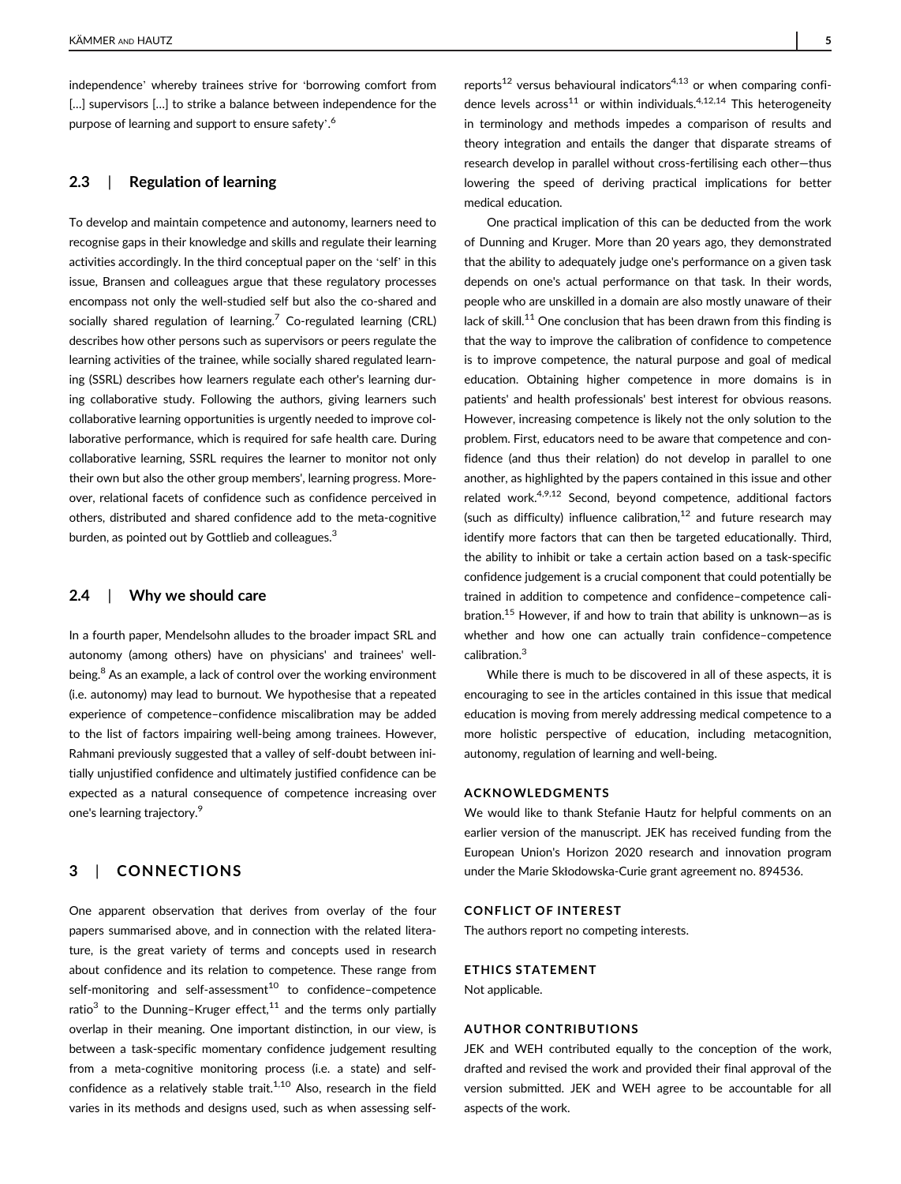independence' whereby trainees strive for 'borrowing comfort from [...] supervisors [...] to strike a balance between independence for the purpose of learning and support to ensure safety'.<sup>6</sup>

### 2.3 | Regulation of learning

To develop and maintain competence and autonomy, learners need to recognise gaps in their knowledge and skills and regulate their learning activities accordingly. In the third conceptual paper on the 'self' in this issue, Bransen and colleagues argue that these regulatory processes encompass not only the well-studied self but also the co-shared and socially shared regulation of learning.<sup>7</sup> Co-regulated learning (CRL) describes how other persons such as supervisors or peers regulate the learning activities of the trainee, while socially shared regulated learning (SSRL) describes how learners regulate each other's learning during collaborative study. Following the authors, giving learners such collaborative learning opportunities is urgently needed to improve collaborative performance, which is required for safe health care. During collaborative learning, SSRL requires the learner to monitor not only their own but also the other group members', learning progress. Moreover, relational facets of confidence such as confidence perceived in others, distributed and shared confidence add to the meta-cognitive burden, as pointed out by Gottlieb and colleagues.<sup>3</sup>

#### 2.4 | Why we should care

In a fourth paper, Mendelsohn alludes to the broader impact SRL and autonomy (among others) have on physicians' and trainees' wellbeing.<sup>8</sup> As an example, a lack of control over the working environment (i.e. autonomy) may lead to burnout. We hypothesise that a repeated experience of competence–confidence miscalibration may be added to the list of factors impairing well-being among trainees. However, Rahmani previously suggested that a valley of self-doubt between initially unjustified confidence and ultimately justified confidence can be expected as a natural consequence of competence increasing over one's learning trajectory.9

# 3 | CONNECTIONS

One apparent observation that derives from overlay of the four papers summarised above, and in connection with the related literature, is the great variety of terms and concepts used in research about confidence and its relation to competence. These range from self-monitoring and self-assessment<sup>10</sup> to confidence-competence ratio<sup>3</sup> to the Dunning–Kruger effect,<sup>11</sup> and the terms only partially overlap in their meaning. One important distinction, in our view, is between a task-specific momentary confidence judgement resulting from a meta-cognitive monitoring process (i.e. a state) and selfconfidence as a relatively stable trait.<sup>1,10</sup> Also, research in the field varies in its methods and designs used, such as when assessing selfreports<sup>12</sup> versus behavioural indicators<sup>4,13</sup> or when comparing confidence levels across<sup>11</sup> or within individuals.<sup>4,12,14</sup> This heterogeneity in terminology and methods impedes a comparison of results and theory integration and entails the danger that disparate streams of research develop in parallel without cross-fertilising each other—thus lowering the speed of deriving practical implications for better medical education.

One practical implication of this can be deducted from the work of Dunning and Kruger. More than 20 years ago, they demonstrated that the ability to adequately judge one's performance on a given task depends on one's actual performance on that task. In their words, people who are unskilled in a domain are also mostly unaware of their lack of skill.<sup>11</sup> One conclusion that has been drawn from this finding is that the way to improve the calibration of confidence to competence is to improve competence, the natural purpose and goal of medical education. Obtaining higher competence in more domains is in patients' and health professionals' best interest for obvious reasons. However, increasing competence is likely not the only solution to the problem. First, educators need to be aware that competence and confidence (and thus their relation) do not develop in parallel to one another, as highlighted by the papers contained in this issue and other related work.<sup>4,9,12</sup> Second, beyond competence, additional factors (such as difficulty) influence calibration, $12$  and future research mav identify more factors that can then be targeted educationally. Third, the ability to inhibit or take a certain action based on a task-specific confidence judgement is a crucial component that could potentially be trained in addition to competence and confidence–competence calibration.<sup>15</sup> However, if and how to train that ability is unknown–as is whether and how one can actually train confidence–competence calibration.<sup>3</sup>

While there is much to be discovered in all of these aspects, it is encouraging to see in the articles contained in this issue that medical education is moving from merely addressing medical competence to a more holistic perspective of education, including metacognition, autonomy, regulation of learning and well-being.

#### ACKNOWLEDGMENTS

We would like to thank Stefanie Hautz for helpful comments on an earlier version of the manuscript. JEK has received funding from the European Union's Horizon 2020 research and innovation program under the Marie Skłodowska-Curie grant agreement no. 894536.

#### CONFLICT OF INTEREST

The authors report no competing interests.

#### ETHICS STATEMENT

Not applicable.

#### AUTHOR CONTRIBUTIONS

JEK and WEH contributed equally to the conception of the work, drafted and revised the work and provided their final approval of the version submitted. JEK and WEH agree to be accountable for all aspects of the work.